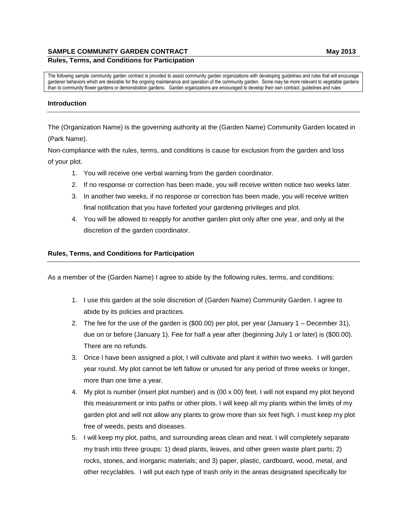## **SAMPLE COMMUNITY GARDEN CONTRACT May 2013**

The following sample community garden contract is provided to assist community garden organizations with developing guidelines and rules that will encourage gardener behaviors which are desirable for the ongoing maintenance and operation of the community garden. Some may be more relevant to vegetable gardens than to community flower gardens or demonstration gardens. Garden organizations are encouraged to develop their own contract, guidelines and rules

### **Introduction**

The (Organization Name) is the governing authority at the (Garden Name) Community Garden located in (Park Name).

Non-compliance with the rules, terms, and conditions is cause for exclusion from the garden and loss of your plot.

- 1. You will receive one verbal warning from the garden coordinator.
- 2. If no response or correction has been made, you will receive written notice two weeks later.
- 3. In another two weeks, if no response or correction has been made, you will receive written final notification that you have forfeited your gardening privileges and plot.
- 4. You will be allowed to reapply for another garden plot only after one year, and only at the discretion of the garden coordinator.

#### **Rules, Terms, and Conditions for Participation**

As a member of the (Garden Name) I agree to abide by the following rules, terms, and conditions:

- 1. I use this garden at the sole discretion of (Garden Name) Community Garden. I agree to abide by its policies and practices.
- 2. The fee for the use of the garden is (\$00.00) per plot, per year (January 1 December 31), due on or before (January 1). Fee for half a year after (beginning July 1 or later) is (\$00.00). There are no refunds.
- 3. Once I have been assigned a plot, I will cultivate and plant it within two weeks. I will garden year round. My plot cannot be left fallow or unused for any period of three weeks or longer, more than one time a year.
- 4. My plot is number (insert plot number) and is (00 x 00) feet. I will not expand my plot beyond this measurement or into paths or other plots. I will keep all my plants within the limits of my garden plot and will not allow any plants to grow more than six feet high. I must keep my plot free of weeds, pests and diseases.
- 5. I will keep my plot, paths, and surrounding areas clean and neat. I will completely separate my trash into three groups: 1) dead plants, leaves, and other green waste plant parts; 2) rocks, stones, and inorganic materials; and 3) paper, plastic, cardboard, wood, metal, and other recyclables. I will put each type of trash only in the areas designated specifically for